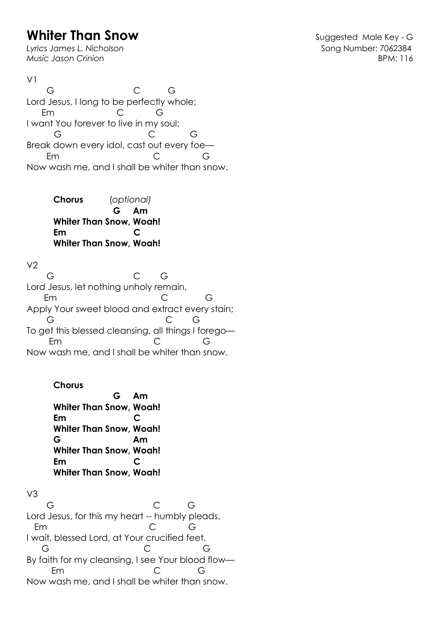## **Whiter Than Snow Constant Constant Constant Constant Constant Constant Constant Constant Constant Constant Constant Constant Constant Constant Constant Constant Constant Constant Constant Constant Constant Constant Cons**

Lyrics James L. Nicholson **Song Number: 7062384** *Music Jason Crinion* BPM: 116

 $V<sub>1</sub>$  G C G Lord Jesus, I long to be perfectly whole; Em C G I want You forever to live in my soul; G C G Break down every idol, cast out every foe— Em C G Now wash me, and I shall be whiter than snow.

> **Chorus** (*optional)*  **G Am Whiter Than Snow, Woah! Em C Whiter Than Snow, Woah!**

 $V<sub>2</sub>$ 

 G C G Lord Jesus, let nothing unholy remain, Em C G Apply Your sweet blood and extract every stain; G C G To get this blessed cleansing, all things I forego— Em C G Now wash me, and I shall be whiter than snow.

## **Chorus**

 **G Am Whiter Than Snow, Woah! Em C Whiter Than Snow, Woah! G Am Whiter Than Snow, Woah! Em C Whiter Than Snow, Woah!**

V3 G C G Lord Jesus, for this my heart -- humbly pleads, Em C G I wait, blessed Lord, at Your crucified feet, G C G By faith for my cleansing, I see Your blood flow— Em C G Now wash me, and I shall be whiter than snow.